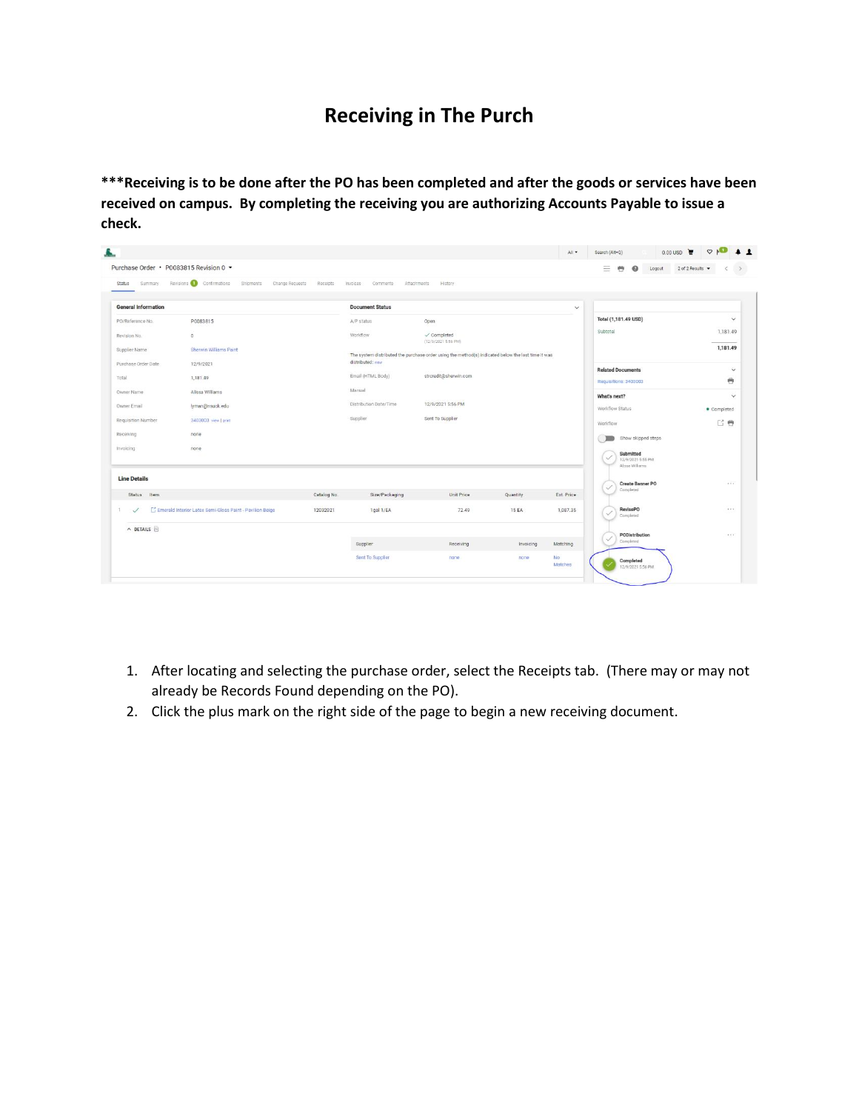## **Receiving in The Purch**

**\*\*\*Receiving is to be done after the PO has been completed and after the goods or services have been received on campus. By completing the receiving you are authorizing Accounts Payable to issue a check.** 

| Status<br>Summary          | Purchase Order · P0083815 Revision 0 ·<br>Revisions Confirmations Shipments Change Requests Receipts Invoices Comments |             |                        | Attachments<br>History.                                                                            |              |                | Ξ<br>曲<br>$\boldsymbol{\omega}$<br>Logout | 2 of 2 Results |
|----------------------------|------------------------------------------------------------------------------------------------------------------------|-------------|------------------------|----------------------------------------------------------------------------------------------------|--------------|----------------|-------------------------------------------|----------------|
|                            |                                                                                                                        |             |                        |                                                                                                    |              |                |                                           |                |
| <b>General Information</b> |                                                                                                                        |             | <b>Document Status</b> |                                                                                                    |              | $\checkmark$   |                                           |                |
| PO/Reference No.           | P0083815                                                                                                               |             | A/P status             | Open                                                                                               |              |                | Total (1,181.49 USD)                      | $\checkmark$   |
| Revision No.               | $\circ$                                                                                                                |             | Workflow.              | $\checkmark$ Completed<br>(12/9/2021 5:56 PM)                                                      |              |                | Subtotal                                  | 1,181.49       |
| Supplier Name              | Sherwin Williams Paint                                                                                                 |             |                        | The system distributed the purchase order using the method(s) indicated below the last time it was |              |                |                                           | 1,181.49       |
| Purchase Order Date        | 12/9/2021                                                                                                              |             | distributed: view      |                                                                                                    |              |                | <b>Related Documents</b>                  | $\checkmark$   |
| Total                      | 1,181.49                                                                                                               |             | Email (HTML Body)      | strcredit@sherwin.com                                                                              |              |                | Requisitions: 3403003                     | 巻              |
| Owner Name                 | Alissa Williams                                                                                                        |             | Manual                 |                                                                                                    |              |                | What's next?                              | $\checkmark$   |
| Owner Email                | lyman@nsuok.edu                                                                                                        |             | Distribution Date/Time | 12/9/2021 5:56 PM                                                                                  |              |                | Workflow Status                           | · Completed    |
| Requisition Number         | 3403003 view   print                                                                                                   |             | Supplier               | Sent To Supplier                                                                                   |              |                | Workflow                                  | 已卷             |
| Receiving                  | none                                                                                                                   |             |                        |                                                                                                    |              |                | Show skipped steps                        |                |
| Invoicing                  | none                                                                                                                   |             |                        |                                                                                                    |              |                | Submitted<br>12/9/2021 5:55 PM            |                |
|                            |                                                                                                                        |             |                        |                                                                                                    |              |                | Alissa Williams                           |                |
| <b>Line Details</b>        |                                                                                                                        |             |                        |                                                                                                    |              |                | <b>Create Banner PO</b><br>୰<br>Completed | $-111$         |
| Item<br><b>Status</b>      |                                                                                                                        | Catalog No. | Size/Packaging         | Unit Price                                                                                         | Quantity     | Ext. Price     |                                           |                |
| 1.<br>$\checkmark$         | E <sup>4</sup> Emerald Interior Latex Semi-Gloss Paint - Pavilion Beige                                                | 12032021    | 1gal 1/EA              | 72.49                                                                                              | <b>15 EA</b> | 1,087.35       | RevisePO<br>$\checkmark$<br>Completed     | 7.7.7          |
| $\land$ DETAILS $\Box$     |                                                                                                                        |             |                        |                                                                                                    |              |                | PODistribution                            | $-2.6 - 1.$    |
|                            |                                                                                                                        |             | Supplier               | Receiving                                                                                          | Invoicing    | Matching       | Completed                                 |                |
|                            |                                                                                                                        |             | Sent To Supplier       | none                                                                                               | none         | No:<br>Matches | Completed<br>12/9/2021 5:56 PM            |                |

- 1. After locating and selecting the purchase order, select the Receipts tab. (There may or may not already be Records Found depending on the PO).
- 2. Click the plus mark on the right side of the page to begin a new receiving document.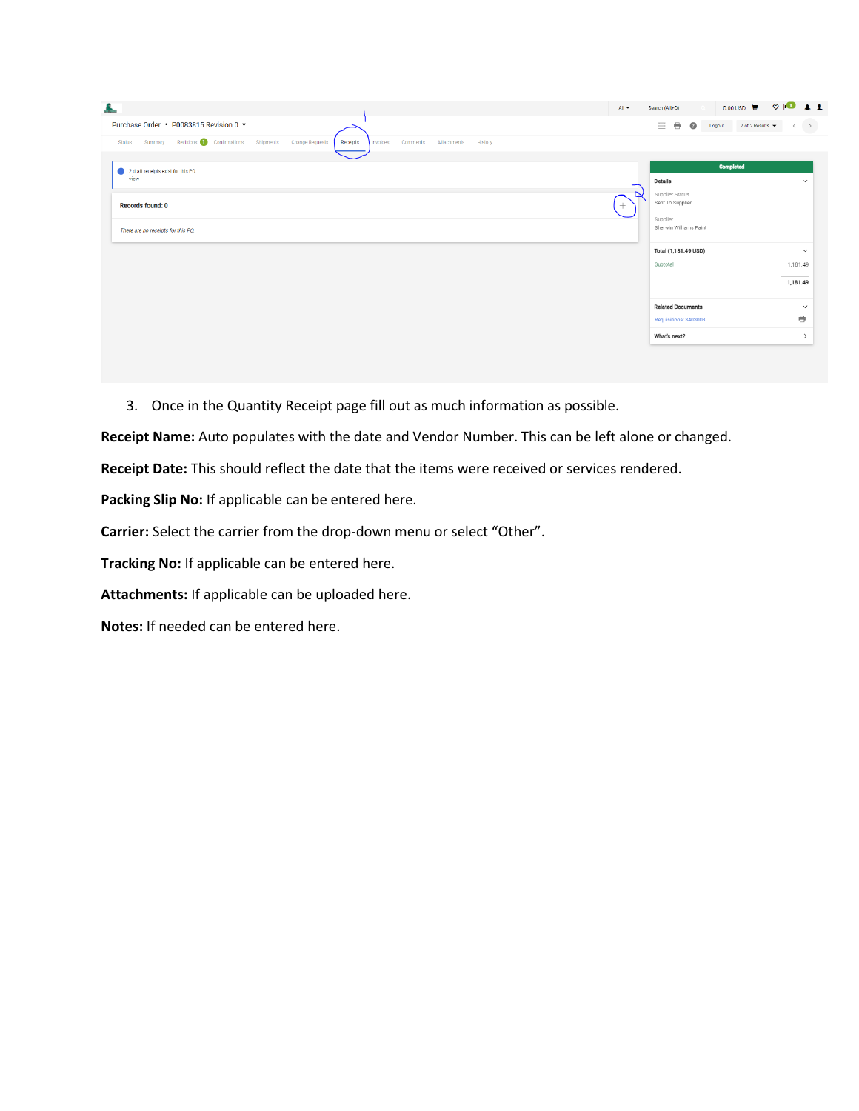| Æ.                                                                                                                                     | Search (Alt+Q)<br>All <b>v</b>                                   | 0.00 USD $\mathbf{v}$ $\heartsuit$ $\mathbf{P}$ $\blacktriangle$ 1 |
|----------------------------------------------------------------------------------------------------------------------------------------|------------------------------------------------------------------|--------------------------------------------------------------------|
| Purchase Order • P0083815 Revision 0 ▼                                                                                                 | 三章<br>$\bullet$<br>2 of 2 Results $\blacktriangledown$<br>Logout | $\rightarrow$                                                      |
| Summary Revisions D Confirmations Shipments<br>Change Requests<br>Status<br>Receipts<br>Attachments<br>History<br>Invoices<br>Comments |                                                                  |                                                                    |
| 1 2 draft receipts exist for this PO.                                                                                                  | <b>Completed</b>                                                 |                                                                    |
| view                                                                                                                                   | <b>Details</b>                                                   | $\checkmark$                                                       |
| <b>Records found: 0</b>                                                                                                                | $\triangleright$<br>Supplier Status<br>Sent To Supplier          |                                                                    |
|                                                                                                                                        | Supplier                                                         |                                                                    |
| There are no receipts for this PO.                                                                                                     | Sherwin Williams Paint                                           |                                                                    |
|                                                                                                                                        | Total (1,181.49 USD)                                             | $\checkmark$                                                       |
|                                                                                                                                        | Subtotal                                                         | 1,181.49                                                           |
|                                                                                                                                        |                                                                  | the control of the control of<br>1,181.49                          |
|                                                                                                                                        | <b>Related Documents</b>                                         | $\checkmark$                                                       |
|                                                                                                                                        | Requisitions: 3403003                                            | e                                                                  |
|                                                                                                                                        | What's next?                                                     | $\rightarrow$                                                      |

3. Once in the Quantity Receipt page fill out as much information as possible.

**Receipt Name:** Auto populates with the date and Vendor Number. This can be left alone or changed.

**Receipt Date:** This should reflect the date that the items were received or services rendered.

**Packing Slip No:** If applicable can be entered here.

**Carrier:** Select the carrier from the drop-down menu or select "Other".

**Tracking No:** If applicable can be entered here.

**Attachments:** If applicable can be uploaded here.

**Notes:** If needed can be entered here.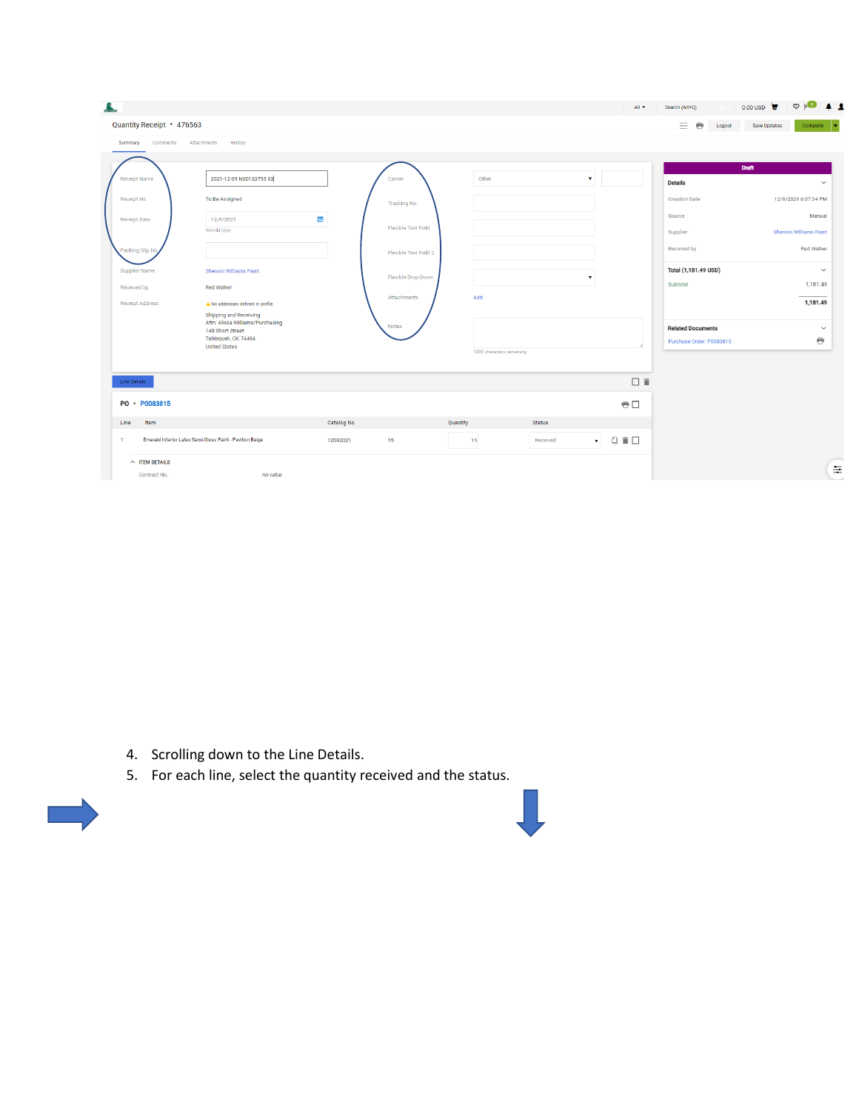| Quantity Receipt · 476563 |                                                              |             |                       |                           |               |                                                         | Ξ.<br>$\ddot{\phantom{1}}$<br>Logout | Save Updates<br>Complete      |
|---------------------------|--------------------------------------------------------------|-------------|-----------------------|---------------------------|---------------|---------------------------------------------------------|--------------------------------------|-------------------------------|
| Summary<br>Comments       | Attachments<br>History                                       |             |                       |                           |               |                                                         |                                      |                               |
|                           |                                                              |             |                       |                           |               |                                                         | <b>Draft</b>                         |                               |
| <b>Receipt Name</b>       | 2021-12-09 N00133755 03                                      |             | Carrier               | Other                     |               | $\mathbf{v}$                                            | Details                              | $\checkmark$                  |
| Receipt No                | To Be Assigned                                               |             | Tracking No.          |                           |               |                                                         | <b>Creation Date</b>                 | 12/9/2021 6:07:34 PM          |
| <b>Receipt Date</b>       | 12/9/2021                                                    | 菌           |                       |                           |               |                                                         | Source                               | Manual                        |
|                           | mm/dd/yyyy                                                   |             | Flexible Text Field   |                           |               |                                                         | Supplier                             | <b>Sherwin Williams Paint</b> |
| Packing Slip No           |                                                              |             | Flexible Text Field 2 |                           |               |                                                         | Received by                          | Red Walker                    |
| Supplier Name             | Sherwin Williams Paint                                       |             | Flexible Drop Down    |                           |               | $\mathbf{v}$                                            | Total (1,181.49 USD)                 | $\check{~}$                   |
| Received by               | <b>Red Walker</b>                                            |             | Attachments           | Add                       |               |                                                         | Subtotal                             | 1,181.49                      |
| Receipt Address           | A No addresses defined in profile.<br>Shipping and Receiving |             |                       |                           |               |                                                         |                                      | 1,181.49                      |
|                           | Attn: Alissa Williams/Purchasing<br>148 Short Street         |             | Notes                 |                           |               |                                                         | <b>Related Documents</b>             | $\checkmark$                  |
|                           | Tahlequah, OK 74464<br><b>United States</b>                  |             |                       |                           |               |                                                         | Purchase Order: P0083815             | e                             |
|                           |                                                              |             |                       | 1000 characters remaining |               |                                                         |                                      |                               |
| Line Details              |                                                              |             |                       |                           |               | 日宜                                                      |                                      |                               |
| PO · P0083815             |                                                              |             |                       |                           |               | $\oplus$                                                |                                      |                               |
| Item<br>Line              |                                                              | Catalog No. |                       | Quantity                  | <b>Status</b> |                                                         |                                      |                               |
| $\mathbf{1}$              | Emerald Interior Latex Semi-Gloss Paint - Pavilion Beige     | 12032021    | 15                    | 15                        | Received      | $\begin{array}{c} 0 \\ 0 \end{array}$<br>$\mathbf{v}$ . |                                      |                               |
| $\land$ ITEM DETAILS      |                                                              |             |                       |                           |               |                                                         |                                      |                               |

M.

- 4. Scrolling down to the Line Details.
- 5. For each line, select the quantity received and the status.

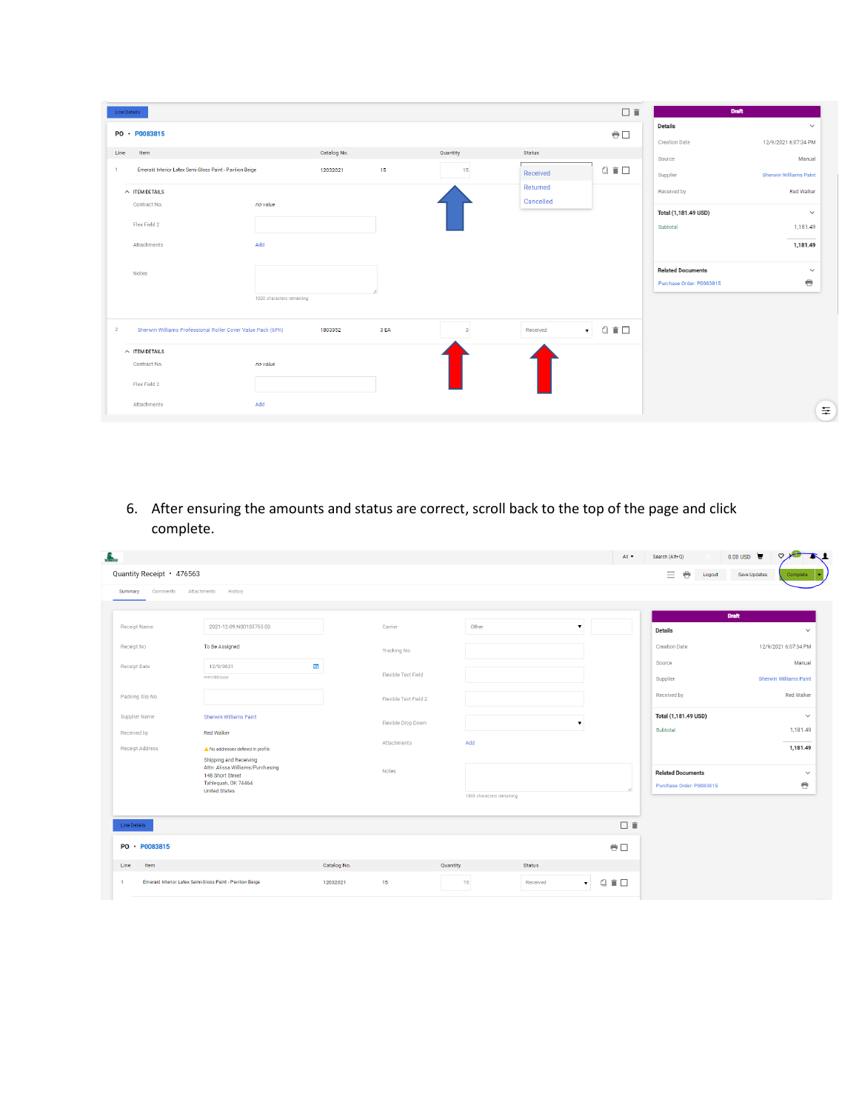| Line Details   |                                                             |                           |             |      |              |               | 日直                                                                                        | <b>Draft</b>             |                               |
|----------------|-------------------------------------------------------------|---------------------------|-------------|------|--------------|---------------|-------------------------------------------------------------------------------------------|--------------------------|-------------------------------|
|                | PO · P0083815                                               |                           |             |      |              |               | $\oplus$                                                                                  | <b>Details</b>           | $\checkmark$                  |
| Line           | Item                                                        |                           | Catalog No. |      | Quantity     | <b>Status</b> |                                                                                           | <b>Creation Date</b>     | 12/9/2021 6:07:34 PM          |
| $\mathbf{1}$   | Emerald Interior Latex Semi-Gloss Paint - Pavilion Beige    |                           | 12032021    | 15   | 15           |               | $\begin{array}{c} \square \hspace{0.2cm} \blacksquare \hspace{0.2cm} \square \end{array}$ | Source                   | Manual                        |
|                |                                                             |                           |             |      |              | Received      |                                                                                           | Supplier                 | <b>Sherwin Williams Paint</b> |
|                | $\land$ ITEM DETAILS                                        |                           |             |      |              | Returned      |                                                                                           | Received by              | Red Walker                    |
|                | Contract No.                                                | no value                  |             |      |              | Cancelled     |                                                                                           | Total (1,181.49 USD)     | $\checkmark$                  |
|                | Flex Field 2                                                |                           |             |      |              |               |                                                                                           | Subtotal                 | 1,181.49                      |
|                | <b>Attachments</b>                                          | Add                       |             |      |              |               |                                                                                           |                          | 1,181.49                      |
|                |                                                             |                           |             |      |              |               |                                                                                           |                          |                               |
|                | <b>Notes</b>                                                |                           |             |      |              |               |                                                                                           | <b>Related Documents</b> | $\checkmark$                  |
|                |                                                             |                           |             |      |              |               |                                                                                           | Purchase Order: P0083815 | $\bullet$                     |
|                |                                                             | 1000 characters remaining |             |      |              |               |                                                                                           |                          |                               |
| $\overline{2}$ | Sherwin Williams Professional Roller Cover Value Pack (6PK) |                           | 1803352     | 3 EA | $\mathbf{a}$ | Received      | $0$ $\Gamma$ $\Box$<br>$\mathbf{v}$                                                       |                          |                               |
|                | $\land$ ITEM DETAILS                                        |                           |             |      |              |               |                                                                                           |                          |                               |
|                | Contract No.                                                | no value                  |             |      |              |               |                                                                                           |                          |                               |
|                | Flex Field 2                                                |                           |             |      |              |               |                                                                                           |                          |                               |
|                | Attachments                                                 | Add                       |             |      |              |               |                                                                                           |                          |                               |
|                |                                                             |                           |             |      |              |               |                                                                                           |                          | ≑                             |

6. After ensuring the amounts and status are correct, scroll back to the top of the page and click complete.

| Quantity Receipt · 476563 |                                                                                       |             |                       |          |                           |               |                     | $\equiv$<br>e<br>Logout  | Save Updates | Complete                      |
|---------------------------|---------------------------------------------------------------------------------------|-------------|-----------------------|----------|---------------------------|---------------|---------------------|--------------------------|--------------|-------------------------------|
| Comments<br>Summary       | Attachments<br>History                                                                |             |                       |          |                           |               |                     |                          |              |                               |
|                           |                                                                                       |             |                       |          |                           |               |                     |                          | <b>Draft</b> |                               |
| Receipt Name              | 2021-12-09 N00133755 03                                                               |             | Carrier               |          | Other                     | $\mathbf{v}$  |                     | <b>Details</b>           |              |                               |
| Receipt No                | To Be Assigned                                                                        |             | Tracking No.          |          |                           |               |                     | <b>Creation Date</b>     |              | 12/9/2021 6:07:34 PM          |
| <b>Receipt Date</b>       | 團<br>12/9/0021                                                                        |             |                       |          |                           |               |                     | Source                   |              | Manual                        |
|                           | mm/dd/yyyy                                                                            |             | Flexible Text Field   |          |                           |               |                     | Supplier                 |              | <b>Sherwin Williams Paint</b> |
| Packing Slip No.          |                                                                                       |             | Flexible Text Field 2 |          |                           |               |                     | Received by              |              | Red Walker                    |
| Supplier Name             | <b>Sherwin Williams Paint</b>                                                         |             | Flexible Drop Down    |          |                           | $\mathbf{v}$  |                     | Total (1,181.49 USD)     |              |                               |
| Received by               | <b>Red Walker</b>                                                                     |             |                       |          |                           |               |                     | Subtotal                 |              | 1,181.49                      |
| <b>Receipt Address</b>    | A No addresses defined in profile.                                                    |             | Attachments           |          | Add                       |               |                     |                          |              | 1,181.49                      |
|                           | <b>Shipping and Receiving</b><br>Attn: Alissa Williams/Purchasing<br>148 Short Street |             | Notes                 |          |                           |               |                     | <b>Related Documents</b> |              |                               |
|                           | Tahlequah, OK 74464<br><b>United States</b>                                           |             |                       |          |                           |               |                     | Purchase Order: P0083815 |              | $\ddot{\theta}$               |
|                           |                                                                                       |             |                       |          | 1000 characters remaining |               |                     |                          |              |                               |
| Line Details              |                                                                                       |             |                       |          |                           |               | 日宜                  |                          |              |                               |
|                           |                                                                                       |             |                       |          |                           |               |                     |                          |              |                               |
| PO · P0083815             |                                                                                       |             |                       |          |                           |               | $\oplus$            |                          |              |                               |
| Item<br>Line              |                                                                                       | Catalog No. |                       | Quantity |                           | <b>Status</b> |                     |                          |              |                               |
| $\mathbf{1}$              | Emerald Interior Latex Semi-Gloss Paint - Pavilion Beige                              | 12032021    | 15                    |          | 15                        | Received      | □■□<br>$\mathbf{v}$ |                          |              |                               |